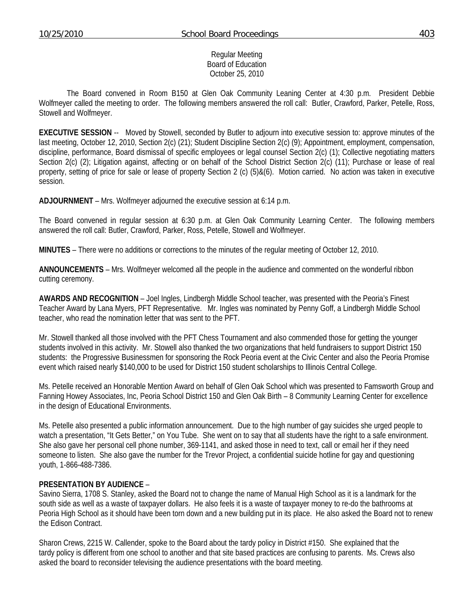#### Regular Meeting Board of Education October 25, 2010

 The Board convened in Room B150 at Glen Oak Community Leaning Center at 4:30 p.m. President Debbie Wolfmeyer called the meeting to order. The following members answered the roll call: Butler, Crawford, Parker, Petelle, Ross, Stowell and Wolfmeyer.

**EXECUTIVE SESSION** -- Moved by Stowell, seconded by Butler to adjourn into executive session to: approve minutes of the last meeting, October 12, 2010, Section 2(c) (21); Student Discipline Section 2(c) (9); Appointment, employment, compensation, discipline, performance, Board dismissal of specific employees or legal counsel Section 2(c) (1); Collective negotiating matters Section 2(c) (2); Litigation against, affecting or on behalf of the School District Section 2(c) (11); Purchase or lease of real property, setting of price for sale or lease of property Section 2 (c) (5)&(6). Motion carried. No action was taken in executive session.

**ADJOURNMENT** – Mrs. Wolfmeyer adjourned the executive session at 6:14 p.m.

The Board convened in regular session at 6:30 p.m. at Glen Oak Community Learning Center. The following members answered the roll call: Butler, Crawford, Parker, Ross, Petelle, Stowell and Wolfmeyer.

**MINUTES** – There were no additions or corrections to the minutes of the regular meeting of October 12, 2010.

**ANNOUNCEMENTS** – Mrs. Wolfmeyer welcomed all the people in the audience and commented on the wonderful ribbon cutting ceremony.

**AWARDS AND RECOGNITION** – Joel Ingles, Lindbergh Middle School teacher, was presented with the Peoria's Finest Teacher Award by Lana Myers, PFT Representative. Mr. Ingles was nominated by Penny Goff, a Lindbergh Middle School teacher, who read the nomination letter that was sent to the PFT.

Mr. Stowell thanked all those involved with the PFT Chess Tournament and also commended those for getting the younger students involved in this activity. Mr. Stowell also thanked the two organizations that held fundraisers to support District 150 students: the Progressive Businessmen for sponsoring the Rock Peoria event at the Civic Center and also the Peoria Promise event which raised nearly \$140,000 to be used for District 150 student scholarships to Illinois Central College.

Ms. Petelle received an Honorable Mention Award on behalf of Glen Oak School which was presented to Famsworth Group and Fanning Howey Associates, Inc, Peoria School District 150 and Glen Oak Birth – 8 Community Learning Center for excellence in the design of Educational Environments.

Ms. Petelle also presented a public information announcement. Due to the high number of gay suicides she urged people to watch a presentation, "It Gets Better," on You Tube. She went on to say that all students have the right to a safe environment. She also gave her personal cell phone number, 369-1141, and asked those in need to text, call or email her if they need someone to listen. She also gave the number for the Trevor Project, a confidential suicide hotline for gay and questioning youth, 1-866-488-7386.

#### **PRESENTATION BY AUDIENCE** –

Savino Sierra, 1708 S. Stanley, asked the Board not to change the name of Manual High School as it is a landmark for the south side as well as a waste of taxpayer dollars. He also feels it is a waste of taxpayer money to re-do the bathrooms at Peoria High School as it should have been torn down and a new building put in its place. He also asked the Board not to renew the Edison Contract.

Sharon Crews, 2215 W. Callender, spoke to the Board about the tardy policy in District #150. She explained that the tardy policy is different from one school to another and that site based practices are confusing to parents. Ms. Crews also asked the board to reconsider televising the audience presentations with the board meeting.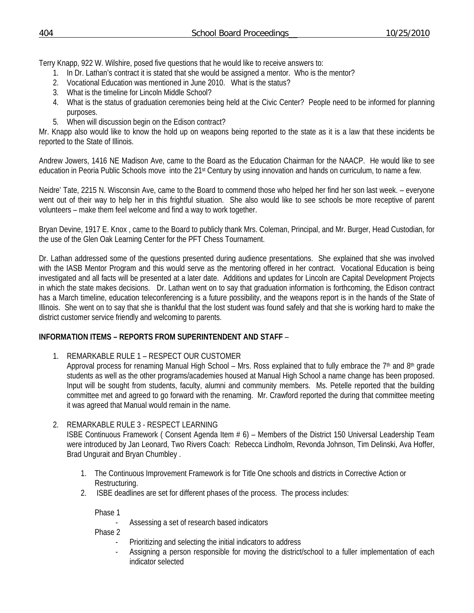Terry Knapp, 922 W. Wilshire, posed five questions that he would like to receive answers to:

- 1. In Dr. Lathan's contract it is stated that she would be assigned a mentor. Who is the mentor?
- 2. Vocational Education was mentioned in June 2010. What is the status?
- 3. What is the timeline for Lincoln Middle School?
- 4. What is the status of graduation ceremonies being held at the Civic Center? People need to be informed for planning purposes.
- 5. When will discussion begin on the Edison contract?

Mr. Knapp also would like to know the hold up on weapons being reported to the state as it is a law that these incidents be reported to the State of Illinois.

Andrew Jowers, 1416 NE Madison Ave, came to the Board as the Education Chairman for the NAACP. He would like to see education in Peoria Public Schools move into the 21st Century by using innovation and hands on curriculum, to name a few.

Neidre' Tate, 2215 N. Wisconsin Ave, came to the Board to commend those who helped her find her son last week. – everyone went out of their way to help her in this frightful situation. She also would like to see schools be more receptive of parent volunteers – make them feel welcome and find a way to work together.

Bryan Devine, 1917 E. Knox , came to the Board to publicly thank Mrs. Coleman, Principal, and Mr. Burger, Head Custodian, for the use of the Glen Oak Learning Center for the PFT Chess Tournament.

Dr. Lathan addressed some of the questions presented during audience presentations. She explained that she was involved with the IASB Mentor Program and this would serve as the mentoring offered in her contract. Vocational Education is being investigated and all facts will be presented at a later date. Additions and updates for Lincoln are Capital Development Projects in which the state makes decisions. Dr. Lathan went on to say that graduation information is forthcoming, the Edison contract has a March timeline, education teleconferencing is a future possibility, and the weapons report is in the hands of the State of Illinois. She went on to say that she is thankful that the lost student was found safely and that she is working hard to make the district customer service friendly and welcoming to parents.

# **INFORMATION ITEMS – REPORTS FROM SUPERINTENDENT AND STAFF** –

- 1. REMARKABLE RULE 1 RESPECT OUR CUSTOMER
	- Approval process for renaming Manual High School Mrs. Ross explained that to fully embrace the  $7<sup>th</sup>$  and  $8<sup>th</sup>$  grade students as well as the other programs/academies housed at Manual High School a name change has been proposed. Input will be sought from students, faculty, alumni and community members. Ms. Petelle reported that the building committee met and agreed to go forward with the renaming. Mr. Crawford reported the during that committee meeting it was agreed that Manual would remain in the name.

# 2. REMARKABLE RULE 3 - RESPECT LEARNING

ISBE Continuous Framework ( Consent Agenda Item # 6) – Members of the District 150 Universal Leadership Team were introduced by Jan Leonard, Two Rivers Coach: Rebecca Lindholm, Revonda Johnson, Tim Delinski, Ava Hoffer, Brad Ungurait and Bryan Chumbley .

- 1. The Continuous Improvement Framework is for Title One schools and districts in Corrective Action or Restructuring.
- 2. ISBE deadlines are set for different phases of the process. The process includes:

Phase 1

Assessing a set of research based indicators

Phase 2

- Prioritizing and selecting the initial indicators to address
- Assigning a person responsible for moving the district/school to a fuller implementation of each indicator selected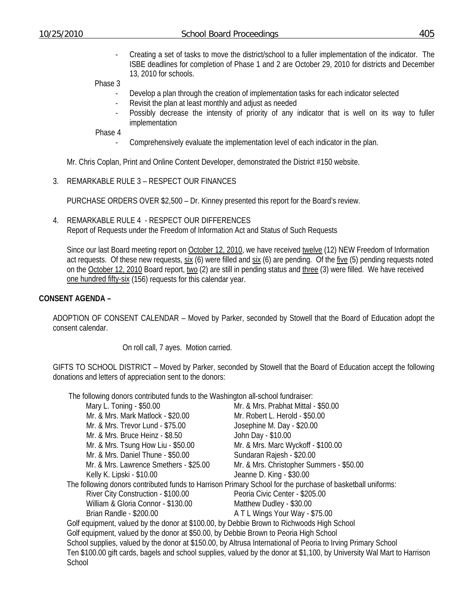- Creating a set of tasks to move the district/school to a fuller implementation of the indicator. The ISBE deadlines for completion of Phase 1 and 2 are October 29, 2010 for districts and December 13, 2010 for schools.

Phase 3

- Develop a plan through the creation of implementation tasks for each indicator selected
- Revisit the plan at least monthly and adjust as needed
- Possibly decrease the intensity of priority of any indicator that is well on its way to fuller implementation

Phase 4

- Comprehensively evaluate the implementation level of each indicator in the plan.

Mr. Chris Coplan, Print and Online Content Developer, demonstrated the District #150 website.

3. REMARKABLE RULE 3 – RESPECT OUR FINANCES

PURCHASE ORDERS OVER \$2,500 – Dr. Kinney presented this report for the Board's review.

4. REMARKABLE RULE 4 - RESPECT OUR DIFFERENCES Report of Requests under the Freedom of Information Act and Status of Such Requests

Since our last Board meeting report on October 12, 2010, we have received twelve (12) NEW Freedom of Information act requests. Of these new requests, six (6) were filled and six (6) are pending. Of the five (5) pending requests noted on the October 12, 2010 Board report, two (2) are still in pending status and three (3) were filled. We have received one hundred fifty-six (156) requests for this calendar year.

#### **CONSENT AGENDA –**

ADOPTION OF CONSENT CALENDAR – Moved by Parker, seconded by Stowell that the Board of Education adopt the consent calendar.

On roll call, 7 ayes. Motion carried.

GIFTS TO SCHOOL DISTRICT – Moved by Parker, seconded by Stowell that the Board of Education accept the following donations and letters of appreciation sent to the donors:

The following donors contributed funds to the Washington all-school fundraiser:

| THE TUIDWITH QUITULE CUTTINUIEU TUITUS IU INE WASHINGUH AII-SCHUULTUNU ASEL.              |                                                                                                                         |
|-------------------------------------------------------------------------------------------|-------------------------------------------------------------------------------------------------------------------------|
| Mary L. Toning - \$50.00                                                                  | Mr. & Mrs. Prabhat Mittal - \$50.00                                                                                     |
| Mr. & Mrs. Mark Matlock - \$20.00                                                         | Mr. Robert L. Herold - \$50.00                                                                                          |
| Mr. & Mrs. Trevor Lund - \$75.00                                                          | Josephine M. Day - \$20.00                                                                                              |
| Mr. & Mrs. Bruce Heinz - \$8.50                                                           | John Day - \$10.00                                                                                                      |
| Mr. & Mrs. Tsung How Liu - \$50.00                                                        | Mr. & Mrs. Marc Wyckoff - \$100.00                                                                                      |
| Mr. & Mrs. Daniel Thune - \$50.00                                                         | Sundaran Rajesh - \$20.00                                                                                               |
| Mr. & Mrs. Lawrence Smethers - \$25.00                                                    | Mr. & Mrs. Christopher Summers - \$50.00                                                                                |
| Kelly K. Lipski - \$10.00                                                                 | Jeanne D. King - \$30.00                                                                                                |
|                                                                                           | The following donors contributed funds to Harrison Primary School for the purchase of basketball uniforms:              |
| River City Construction - \$100.00                                                        | Peoria Civic Center - \$205.00                                                                                          |
| William & Gloria Connor - \$130.00                                                        | Matthew Dudley - \$30.00                                                                                                |
| Brian Randle - \$200.00                                                                   | A T L Wings Your Way - \$75.00                                                                                          |
| Golf equipment, valued by the donor at \$100.00, by Debbie Brown to Richwoods High School |                                                                                                                         |
| Golf equipment, valued by the donor at \$50.00, by Debbie Brown to Peoria High School     |                                                                                                                         |
|                                                                                           | School supplies, valued by the donor at \$150.00, by Altrusa International of Peoria to Irving Primary School           |
|                                                                                           | Ten \$100.00 gift cards, bagels and school supplies, valued by the donor at \$1,100, by University Wal Mart to Harrison |
| School                                                                                    |                                                                                                                         |
|                                                                                           |                                                                                                                         |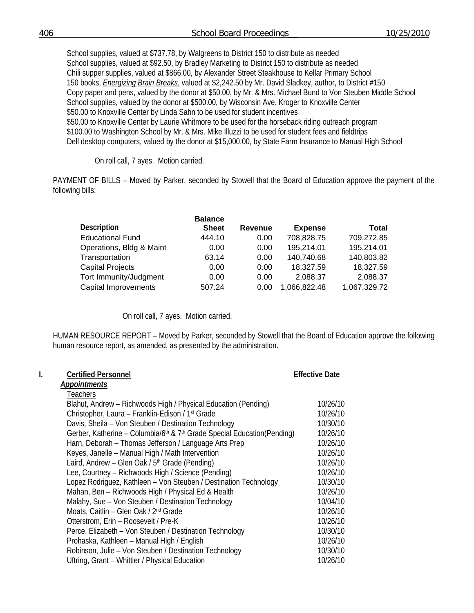School supplies, valued at \$737.78, by Walgreens to District 150 to distribute as needed School supplies, valued at \$92.50, by Bradley Marketing to District 150 to distribute as needed Chili supper supplies, valued at \$866.00, by Alexander Street Steakhouse to Kellar Primary School 150 books, *Energizing Brain Breaks*, valued at \$2,242.50 by Mr. David Sladkey, author, to District #150 Copy paper and pens, valued by the donor at \$50.00, by Mr. & Mrs. Michael Bund to Von Steuben Middle School School supplies, valued by the donor at \$500.00, by Wisconsin Ave. Kroger to Knoxville Center \$50.00 to Knoxville Center by Linda Sahn to be used for student incentives \$50.00 to Knoxville Center by Laurie Whitmore to be used for the horseback riding outreach program \$100.00 to Washington School by Mr. & Mrs. Mike Illuzzi to be used for student fees and fieldtrips Dell desktop computers, valued by the donor at \$15,000.00, by State Farm Insurance to Manual High School

On roll call, 7 ayes. Motion carried.

PAYMENT OF BILLS – Moved by Parker, seconded by Stowell that the Board of Education approve the payment of the following bills:

| <b>Balance</b> |                |                |              |
|----------------|----------------|----------------|--------------|
| <b>Sheet</b>   | <b>Revenue</b> | <b>Expense</b> | <b>Total</b> |
| 444.10         | 0.00           | 708,828.75     | 709,272.85   |
| 0.00           | 0.00           | 195,214.01     | 195,214.01   |
| 63.14          | 0.00           | 140,740.68     | 140,803.82   |
| 0.00           | 0.00           | 18,327.59      | 18,327.59    |
| 0.00           | 0.00           | 2,088.37       | 2,088.37     |
| 507.24         | 0.00           | 1,066,822.48   | 1,067,329.72 |
|                |                |                |              |

On roll call, 7 ayes. Motion carried.

HUMAN RESOURCE REPORT – Moved by Parker, seconded by Stowell that the Board of Education approve the following human resource report, as amended, as presented by the administration.

| Ι. | <b>Certified Personnel</b>                                                                      | <b>Effective Date</b> |
|----|-------------------------------------------------------------------------------------------------|-----------------------|
|    | <b>Appointments</b>                                                                             |                       |
|    | Teachers                                                                                        |                       |
|    | Blahut, Andrew – Richwoods High / Physical Education (Pending)                                  | 10/26/10              |
|    | Christopher, Laura - Franklin-Edison / 1 <sup>st</sup> Grade                                    | 10/26/10              |
|    | Davis, Sheila - Von Steuben / Destination Technology                                            | 10/30/10              |
|    | Gerber, Katherine - Columbia/6 <sup>th</sup> & 7 <sup>th</sup> Grade Special Education(Pending) | 10/26/10              |
|    | Harn, Deborah – Thomas Jefferson / Language Arts Prep                                           | 10/26/10              |
|    | Keyes, Janelle - Manual High / Math Intervention                                                | 10/26/10              |
|    | Laird, Andrew - Glen Oak / 5 <sup>th</sup> Grade (Pending)                                      | 10/26/10              |
|    | Lee, Courtney - Richwoods High / Science (Pending)                                              | 10/26/10              |
|    | Lopez Rodriguez, Kathleen - Von Steuben / Destination Technology                                | 10/30/10              |
|    | Mahan, Ben - Richwoods High / Physical Ed & Health                                              | 10/26/10              |
|    | Malahy, Sue - Von Steuben / Destination Technology                                              | 10/04/10              |
|    | Moats, Caitlin - Glen Oak / 2 <sup>nd</sup> Grade                                               | 10/26/10              |
|    | Otterstrom, Erin - Roosevelt / Pre-K                                                            | 10/26/10              |
|    | Perce, Elizabeth - Von Steuben / Destination Technology                                         | 10/30/10              |
|    | Prohaska, Kathleen - Manual High / English                                                      | 10/26/10              |
|    | Robinson, Julie - Von Steuben / Destination Technology                                          | 10/30/10              |
|    | Uftring, Grant - Whittier / Physical Education                                                  | 10/26/10              |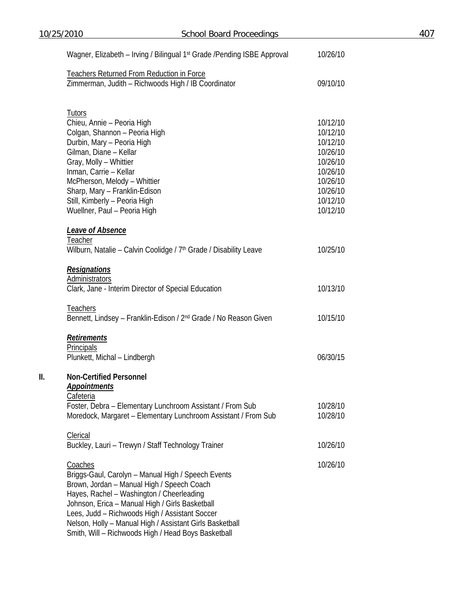|     | 10/25/2010                                                                                       | <b>School Board Proceedings</b> |          | 407 |
|-----|--------------------------------------------------------------------------------------------------|---------------------------------|----------|-----|
|     | Wagner, Elizabeth - Irving / Bilingual 1 <sup>st</sup> Grade / Pending ISBE Approval             |                                 | 10/26/10 |     |
|     | Teachers Returned From Reduction in Force<br>Zimmerman, Judith - Richwoods High / IB Coordinator |                                 | 09/10/10 |     |
|     |                                                                                                  |                                 |          |     |
|     | <b>Tutors</b>                                                                                    |                                 |          |     |
|     | Chieu, Annie - Peoria High                                                                       |                                 | 10/12/10 |     |
|     | Colgan, Shannon - Peoria High                                                                    |                                 | 10/12/10 |     |
|     | Durbin, Mary - Peoria High                                                                       |                                 | 10/12/10 |     |
|     | Gilman, Diane - Kellar                                                                           |                                 | 10/26/10 |     |
|     | Gray, Molly - Whittier                                                                           |                                 | 10/26/10 |     |
|     | Inman, Carrie - Kellar                                                                           |                                 | 10/26/10 |     |
|     | McPherson, Melody - Whittier                                                                     |                                 | 10/26/10 |     |
|     | Sharp, Mary - Franklin-Edison                                                                    |                                 | 10/26/10 |     |
|     | Still, Kimberly - Peoria High                                                                    |                                 | 10/12/10 |     |
|     | Wuellner, Paul - Peoria High                                                                     |                                 | 10/12/10 |     |
|     | <b>Leave of Absence</b>                                                                          |                                 |          |     |
|     | Teacher                                                                                          |                                 |          |     |
|     | Wilburn, Natalie – Calvin Coolidge / 7 <sup>th</sup> Grade / Disability Leave                    |                                 | 10/25/10 |     |
|     | <b>Resignations</b>                                                                              |                                 |          |     |
|     | <b>Administrators</b>                                                                            |                                 |          |     |
|     | Clark, Jane - Interim Director of Special Education                                              |                                 | 10/13/10 |     |
|     | <b>Teachers</b>                                                                                  |                                 |          |     |
|     | Bennett, Lindsey - Franklin-Edison / 2 <sup>nd</sup> Grade / No Reason Given                     |                                 | 10/15/10 |     |
|     | Retirements                                                                                      |                                 |          |     |
|     | Principals                                                                                       |                                 |          |     |
|     | Plunkett, Michal - Lindbergh                                                                     |                                 | 06/30/15 |     |
| II. | <b>Non-Certified Personnel</b>                                                                   |                                 |          |     |
|     | <b>Appointments</b>                                                                              |                                 |          |     |
|     | <b>Cafeteria</b>                                                                                 |                                 |          |     |
|     | Foster, Debra - Elementary Lunchroom Assistant / From Sub                                        |                                 | 10/28/10 |     |
|     | Moredock, Margaret - Elementary Lunchroom Assistant / From Sub                                   |                                 | 10/28/10 |     |
|     | <b>Clerical</b>                                                                                  |                                 |          |     |
|     | Buckley, Lauri - Trewyn / Staff Technology Trainer                                               |                                 | 10/26/10 |     |
|     | Coaches                                                                                          |                                 | 10/26/10 |     |
|     | Briggs-Gaul, Carolyn - Manual High / Speech Events                                               |                                 |          |     |
|     | Brown, Jordan - Manual High / Speech Coach                                                       |                                 |          |     |
|     | Hayes, Rachel - Washington / Cheerleading                                                        |                                 |          |     |
|     | Johnson, Erica - Manual High / Girls Basketball                                                  |                                 |          |     |
|     | Lees, Judd - Richwoods High / Assistant Soccer                                                   |                                 |          |     |
|     | Nelson, Holly - Manual High / Assistant Girls Basketball                                         |                                 |          |     |
|     | Smith, Will - Richwoods High / Head Boys Basketball                                              |                                 |          |     |
|     |                                                                                                  |                                 |          |     |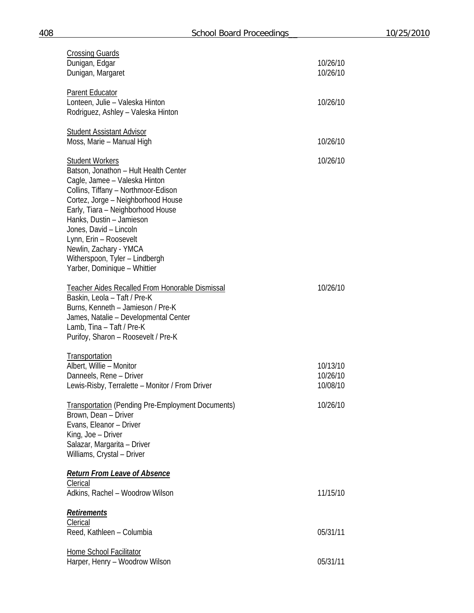| <b>Crossing Guards</b><br>Dunigan, Edgar<br>Dunigan, Margaret                                                                                                                                                                                                                                                                                                                                  | 10/26/10<br>10/26/10             |
|------------------------------------------------------------------------------------------------------------------------------------------------------------------------------------------------------------------------------------------------------------------------------------------------------------------------------------------------------------------------------------------------|----------------------------------|
| <b>Parent Educator</b><br>Lonteen, Julie - Valeska Hinton<br>Rodriguez, Ashley - Valeska Hinton                                                                                                                                                                                                                                                                                                | 10/26/10                         |
| <b>Student Assistant Advisor</b><br>Moss, Marie - Manual High                                                                                                                                                                                                                                                                                                                                  | 10/26/10                         |
| <b>Student Workers</b><br>Batson, Jonathon - Hult Health Center<br>Cagle, Jamee - Valeska Hinton<br>Collins, Tiffany - Northmoor-Edison<br>Cortez, Jorge - Neighborhood House<br>Early, Tiara - Neighborhood House<br>Hanks, Dustin - Jamieson<br>Jones, David - Lincoln<br>Lynn, Erin - Roosevelt<br>Newlin, Zachary - YMCA<br>Witherspoon, Tyler - Lindbergh<br>Yarber, Dominique - Whittier | 10/26/10                         |
| Teacher Aides Recalled From Honorable Dismissal<br>Baskin, Leola - Taft / Pre-K<br>Burns, Kenneth - Jamieson / Pre-K<br>James, Natalie - Developmental Center<br>Lamb, Tina - Taft / Pre-K<br>Purifoy, Sharon - Roosevelt / Pre-K                                                                                                                                                              | 10/26/10                         |
| <b>Transportation</b><br>Albert, Willie - Monitor<br>Danneels, Rene - Driver<br>Lewis-Risby, Terralette - Monitor / From Driver                                                                                                                                                                                                                                                                | 10/13/10<br>10/26/10<br>10/08/10 |
| <b>Transportation (Pending Pre-Employment Documents)</b><br>Brown, Dean - Driver<br>Evans, Eleanor - Driver<br>King, Joe - Driver<br>Salazar, Margarita - Driver<br>Williams, Crystal - Driver                                                                                                                                                                                                 | 10/26/10                         |
| <b>Return From Leave of Absence</b><br>Clerical<br>Adkins, Rachel - Woodrow Wilson                                                                                                                                                                                                                                                                                                             | 11/15/10                         |
| <b>Retirements</b><br>Clerical<br>Reed, Kathleen - Columbia                                                                                                                                                                                                                                                                                                                                    | 05/31/11                         |
| <b>Home School Facilitator</b><br>Harper, Henry - Woodrow Wilson                                                                                                                                                                                                                                                                                                                               | 05/31/11                         |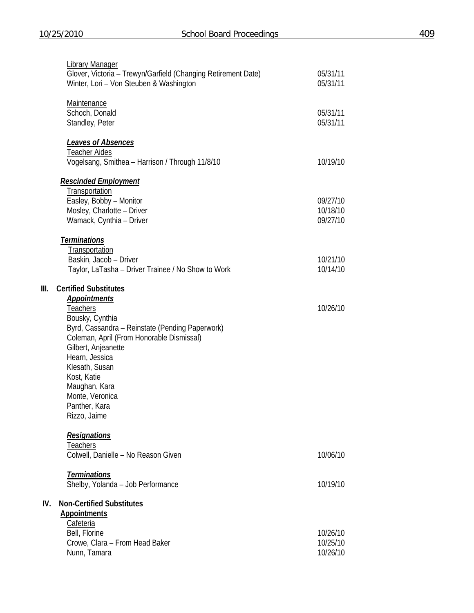**III. Certified Substitutes** 

|      | <b>Library Manager</b><br>Glover, Victoria - Trewyn/Garfield (Changing Retirement Date)<br>Winter, Lori - Von Steuben & Washington                                                                                                                                                                                                       | 05/31/11<br>05/31/11             |
|------|------------------------------------------------------------------------------------------------------------------------------------------------------------------------------------------------------------------------------------------------------------------------------------------------------------------------------------------|----------------------------------|
|      | <b>Maintenance</b><br>Schoch, Donald<br>Standley, Peter                                                                                                                                                                                                                                                                                  | 05/31/11<br>05/31/11             |
|      | <b>Leaves of Absences</b><br><b>Teacher Aides</b><br>Vogelsang, Smithea - Harrison / Through 11/8/10                                                                                                                                                                                                                                     | 10/19/10                         |
|      | <u>Rescinded Employment</u><br>Transportation<br>Easley, Bobby - Monitor<br>Mosley, Charlotte - Driver<br>Wamack, Cynthia - Driver                                                                                                                                                                                                       | 09/27/10<br>10/18/10<br>09/27/10 |
|      | <b>Terminations</b><br>Transportation<br>Baskin, Jacob - Driver<br>Taylor, LaTasha - Driver Trainee / No Show to Work                                                                                                                                                                                                                    | 10/21/10<br>10/14/10             |
| III. | <b>Certified Substitutes</b><br><b>Appointments</b><br><u>Teachers</u><br>Bousky, Cynthia<br>Byrd, Cassandra - Reinstate (Pending Paperwork)<br>Coleman, April (From Honorable Dismissal)<br>Gilbert, Anjeanette<br>Hearn, Jessica<br>Klesath, Susan<br>Kost, Katie<br>Maughan, Kara<br>Monte, Veronica<br>Panther, Kara<br>Rizzo, Jaime | 10/26/10                         |
|      | <b>Resignations</b><br>Teachers<br>Colwell, Danielle - No Reason Given                                                                                                                                                                                                                                                                   | 10/06/10                         |
|      | <b>Terminations</b><br>Shelby, Yolanda - Job Performance                                                                                                                                                                                                                                                                                 | 10/19/10                         |
| IV.  | <b>Non-Certified Substitutes</b><br><b>Appointments</b><br><b>Cafeteria</b><br>Bell, Florine<br>Crowe, Clara - From Head Baker<br>Nunn, Tamara                                                                                                                                                                                           | 10/26/10<br>10/25/10<br>10/26/10 |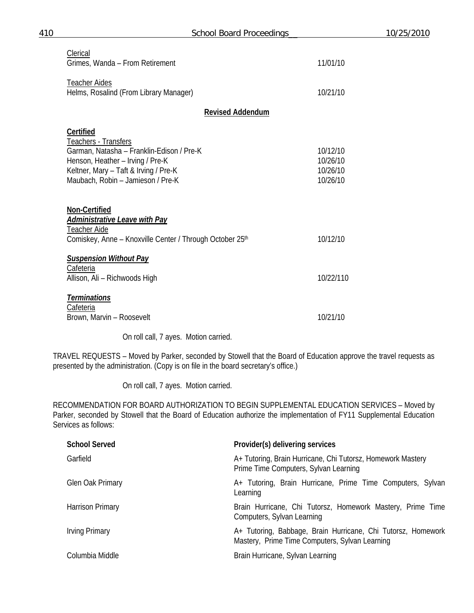| Clerical<br>Grimes, Wanda - From Retirement                                                                                                                                                             |                         | 11/01/10                                     |
|---------------------------------------------------------------------------------------------------------------------------------------------------------------------------------------------------------|-------------------------|----------------------------------------------|
| <b>Teacher Aides</b><br>Helms, Rosalind (From Library Manager)                                                                                                                                          |                         | 10/21/10                                     |
|                                                                                                                                                                                                         | <b>Revised Addendum</b> |                                              |
| <b>Certified</b><br>Teachers - Transfers<br>Garman, Natasha - Franklin-Edison / Pre-K<br>Henson, Heather - Irving / Pre-K<br>Keltner, Mary - Taft & Irving / Pre-K<br>Maubach, Robin - Jamieson / Pre-K |                         | 10/12/10<br>10/26/10<br>10/26/10<br>10/26/10 |
| Non-Certified<br><b>Administrative Leave with Pay</b><br>Teacher Aide<br>Comiskey, Anne - Knoxville Center / Through October 25 <sup>th</sup>                                                           |                         | 10/12/10                                     |
| <b>Suspension Without Pay</b><br>Cafeteria<br>Allison, Ali - Richwoods High                                                                                                                             |                         | 10/22/110                                    |
| <b>Terminations</b><br>Cafeteria<br>Brown, Marvin - Roosevelt                                                                                                                                           |                         | 10/21/10                                     |

On roll call, 7 ayes. Motion carried.

TRAVEL REQUESTS – Moved by Parker, seconded by Stowell that the Board of Education approve the travel requests as presented by the administration. (Copy is on file in the board secretary's office.)

On roll call, 7 ayes. Motion carried.

RECOMMENDATION FOR BOARD AUTHORIZATION TO BEGIN SUPPLEMENTAL EDUCATION SERVICES – Moved by Parker, seconded by Stowell that the Board of Education authorize the implementation of FY11 Supplemental Education Services as follows:

| <b>School Served</b> | Provider(s) delivering services                                                                                |
|----------------------|----------------------------------------------------------------------------------------------------------------|
| Garfield             | A+ Tutoring, Brain Hurricane, Chi Tutorsz, Homework Mastery<br>Prime Time Computers, Sylvan Learning           |
| Glen Oak Primary     | A+ Tutoring, Brain Hurricane, Prime Time Computers, Sylvan<br>Learning                                         |
| Harrison Primary     | Brain Hurricane, Chi Tutorsz, Homework Mastery, Prime Time<br>Computers, Sylvan Learning                       |
| Irving Primary       | A+ Tutoring, Babbage, Brain Hurricane, Chi Tutorsz, Homework<br>Mastery, Prime Time Computers, Sylvan Learning |
| Columbia Middle      | Brain Hurricane, Sylvan Learning                                                                               |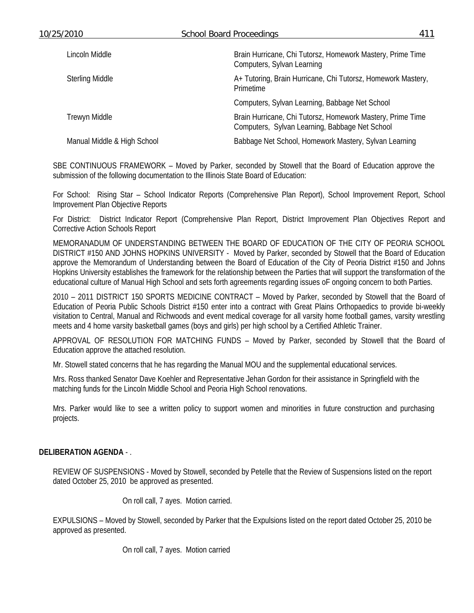| Brain Hurricane, Chi Tutorsz, Homework Mastery, Prime Time<br>Lincoln Middle<br>Computers, Sylvan Learning<br>A+ Tutoring, Brain Hurricane, Chi Tutorsz, Homework Mastery,<br><b>Sterling Middle</b><br><b>Primetime</b> |  |  |
|--------------------------------------------------------------------------------------------------------------------------------------------------------------------------------------------------------------------------|--|--|
|                                                                                                                                                                                                                          |  |  |
|                                                                                                                                                                                                                          |  |  |
| Computers, Sylvan Learning, Babbage Net School                                                                                                                                                                           |  |  |
| Brain Hurricane, Chi Tutorsz, Homework Mastery, Prime Time<br><b>Trewyn Middle</b><br>Computers, Sylvan Learning, Babbage Net School                                                                                     |  |  |
| Babbage Net School, Homework Mastery, Sylvan Learning<br>Manual Middle & High School                                                                                                                                     |  |  |

SBE CONTINUOUS FRAMEWORK – Moved by Parker, seconded by Stowell that the Board of Education approve the submission of the following documentation to the Illinois State Board of Education:

For School: Rising Star – School Indicator Reports (Comprehensive Plan Report), School Improvement Report, School Improvement Plan Objective Reports

For District: District Indicator Report (Comprehensive Plan Report, District Improvement Plan Objectives Report and Corrective Action Schools Report

MEMORANADUM OF UNDERSTANDING BETWEEN THE BOARD OF EDUCATION OF THE CITY OF PEORIA SCHOOL DISTRICT #150 AND JOHNS HOPKINS UNIVERSITY - Moved by Parker, seconded by Stowell that the Board of Education approve the Memorandum of Understanding between the Board of Education of the City of Peoria District #150 and Johns Hopkins University establishes the framework for the relationship between the Parties that will support the transformation of the educational culture of Manual High School and sets forth agreements regarding issues oF ongoing concern to both Parties.

2010 – 2011 DISTRICT 150 SPORTS MEDICINE CONTRACT – Moved by Parker, seconded by Stowell that the Board of Education of Peoria Public Schools District #150 enter into a contract with Great Plains Orthopaedics to provide bi-weekly visitation to Central, Manual and Richwoods and event medical coverage for all varsity home football games, varsity wrestling meets and 4 home varsity basketball games (boys and girls) per high school by a Certified Athletic Trainer.

APPROVAL OF RESOLUTION FOR MATCHING FUNDS – Moved by Parker, seconded by Stowell that the Board of Education approve the attached resolution.

Mr. Stowell stated concerns that he has regarding the Manual MOU and the supplemental educational services.

Mrs. Ross thanked Senator Dave Koehler and Representative Jehan Gordon for their assistance in Springfield with the matching funds for the Lincoln Middle School and Peoria High School renovations.

Mrs. Parker would like to see a written policy to support women and minorities in future construction and purchasing projects.

### **DELIBERATION AGENDA** - .

REVIEW OF SUSPENSIONS - Moved by Stowell, seconded by Petelle that the Review of Suspensions listed on the report dated October 25, 2010 be approved as presented.

On roll call, 7 ayes. Motion carried.

EXPULSIONS – Moved by Stowell, seconded by Parker that the Expulsions listed on the report dated October 25, 2010 be approved as presented.

On roll call, 7 ayes. Motion carried